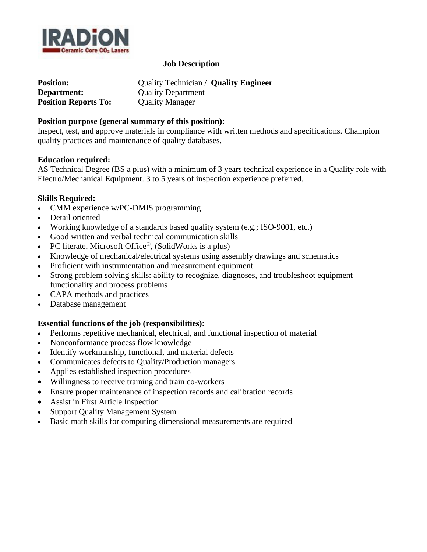

## **Job Description**

| <b>Position:</b>            | Quality Technician / Quality Engineer |
|-----------------------------|---------------------------------------|
| Department:                 | <b>Quality Department</b>             |
| <b>Position Reports To:</b> | <b>Quality Manager</b>                |

## **Position purpose (general summary of this position):**

Inspect, test, and approve materials in compliance with written methods and specifications. Champion quality practices and maintenance of quality databases.

#### **Education required:**

AS Technical Degree (BS a plus) with a minimum of 3 years technical experience in a Quality role with Electro/Mechanical Equipment. 3 to 5 years of inspection experience preferred.

#### **Skills Required:**

- CMM experience w/PC-DMIS programming
- Detail oriented
- Working knowledge of a standards based quality system (e.g.; ISO-9001, etc.)
- Good written and verbal technical communication skills
- PC literate, Microsoft Office®, (SolidWorks is a plus)
- Knowledge of mechanical/electrical systems using assembly drawings and schematics
- Proficient with instrumentation and measurement equipment
- Strong problem solving skills: ability to recognize, diagnoses, and troubleshoot equipment functionality and process problems
- CAPA methods and practices
- Database management

# **Essential functions of the job (responsibilities):**

- Performs repetitive mechanical, electrical, and functional inspection of material
- Nonconformance process flow knowledge
- Identify workmanship, functional, and material defects
- Communicates defects to Quality/Production managers
- Applies established inspection procedures
- Willingness to receive training and train co-workers
- Ensure proper maintenance of inspection records and calibration records
- Assist in First Article Inspection
- Support Quality Management System
- Basic math skills for computing dimensional measurements are required